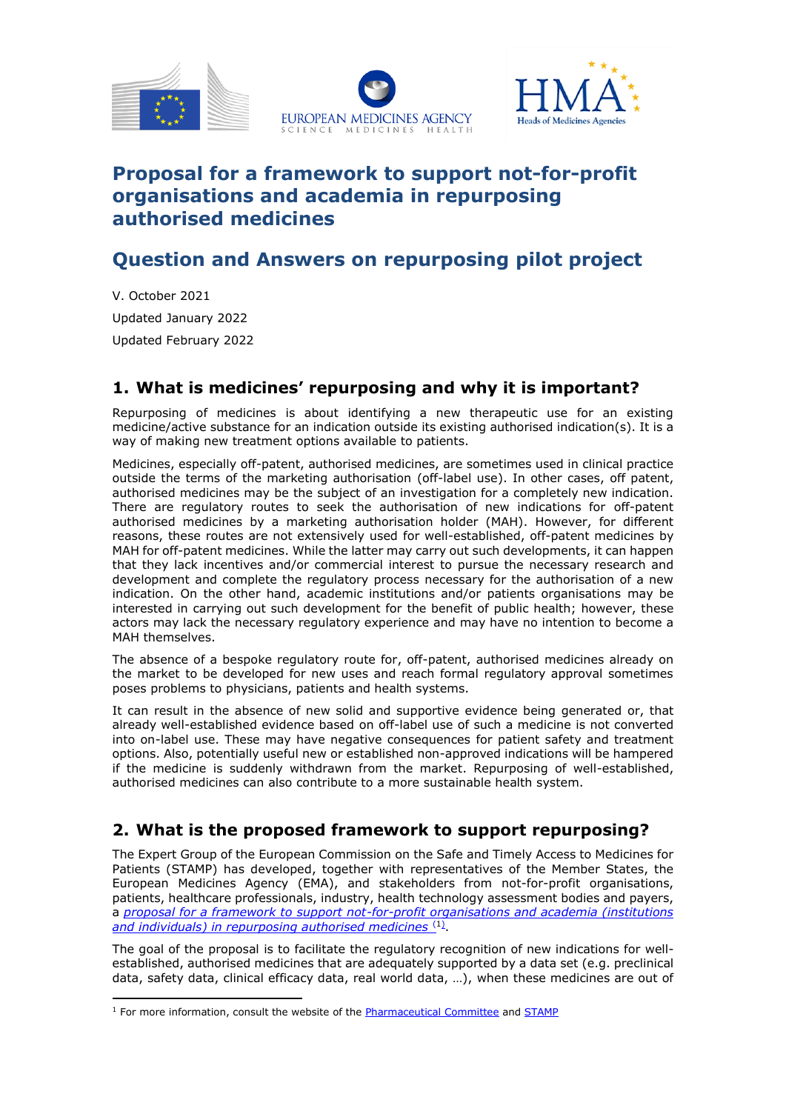





# **[Proposal for a framework to support not-for-profit](https://ec.europa.eu/health/system/files/2021-10/pharm773_repurposing_annex_en_0.pdf)  [organisations and academia in repurposing](https://ec.europa.eu/health/system/files/2021-10/pharm773_repurposing_annex_en_0.pdf)  [authorised medicines](https://ec.europa.eu/health/system/files/2021-10/pharm773_repurposing_annex_en_0.pdf)**

# **Question and Answers on repurposing pilot project**

V. October 2021 Updated January 2022 Updated February 2022

### **1. What is medicines' repurposing and why it is important?**

Repurposing of medicines is about identifying a new therapeutic use for an existing medicine/active substance for an indication outside its existing authorised indication(s). It is a way of making new treatment options available to patients.

Medicines, especially off-patent, authorised medicines, are sometimes used in clinical practice outside the terms of the marketing authorisation (off-label use). In other cases, off patent, authorised medicines may be the subject of an investigation for a completely new indication. There are regulatory routes to seek the authorisation of new indications for off-patent authorised medicines by a marketing authorisation holder (MAH). However, for different reasons, these routes are not extensively used for well-established, off-patent medicines by MAH for off-patent medicines. While the latter may carry out such developments, it can happen that they lack incentives and/or commercial interest to pursue the necessary research and development and complete the regulatory process necessary for the authorisation of a new indication. On the other hand, academic institutions and/or patients organisations may be interested in carrying out such development for the benefit of public health; however, these actors may lack the necessary regulatory experience and may have no intention to become a MAH themselves.

The absence of a bespoke regulatory route for, off-patent, authorised medicines already on the market to be developed for new uses and reach formal regulatory approval sometimes poses problems to physicians, patients and health systems.

It can result in the absence of new solid and supportive evidence being generated or, that already well-established evidence based on off-label use of such a medicine is not converted into on-label use. These may have negative consequences for patient safety and treatment options. Also, potentially useful new or established non-approved indications will be hampered if the medicine is suddenly withdrawn from the market. Repurposing of well-established, authorised medicines can also contribute to a more sustainable health system.

## **2. What is the proposed framework to support repurposing?**

The Expert Group of the European Commission on the Safe and Timely Access to Medicines for Patients (STAMP) has developed, together with representatives of the Member States, the European Medicines Agency (EMA), and stakeholders from not-for-profit organisations, patients, healthcare professionals, industry, health technology assessment bodies and payers, a *[proposal for a framework to support not-for-profit organisations and academia \(institutions](https://ec.europa.eu/health/system/files/2021-10/pharm773_repurposing_annex_en_0.pdf)  [and individuals\) in repurposing authorised medicines](https://ec.europa.eu/health/system/files/2021-10/pharm773_repurposing_annex_en_0.pdf)* (1) .

The goal of the proposal is to facilitate the regulatory recognition of new indications for wellestablished, authorised medicines that are adequately supported by a data set (e.g. preclinical data, safety data, clinical efficacy data, real world data, …), when these medicines are out of

 $<sup>1</sup>$  For more information, consult the website of th[e Pharmaceutical Committee](https://ec.europa.eu/health/medicinal-products/pharmaceutical-committee-veterinary-pharmaceutical-committee-and-expert-groups/human-pharmaceutical-committee-meetings_en) and [STAMP](https://ec.europa.eu/health/medicinal-products/pharmaceutical-committee-veterinary-pharmaceutical-committee-and-expert-groups/commission-expert-group-safe-and-timely-access-medicines-patients-stamp_en)</sup>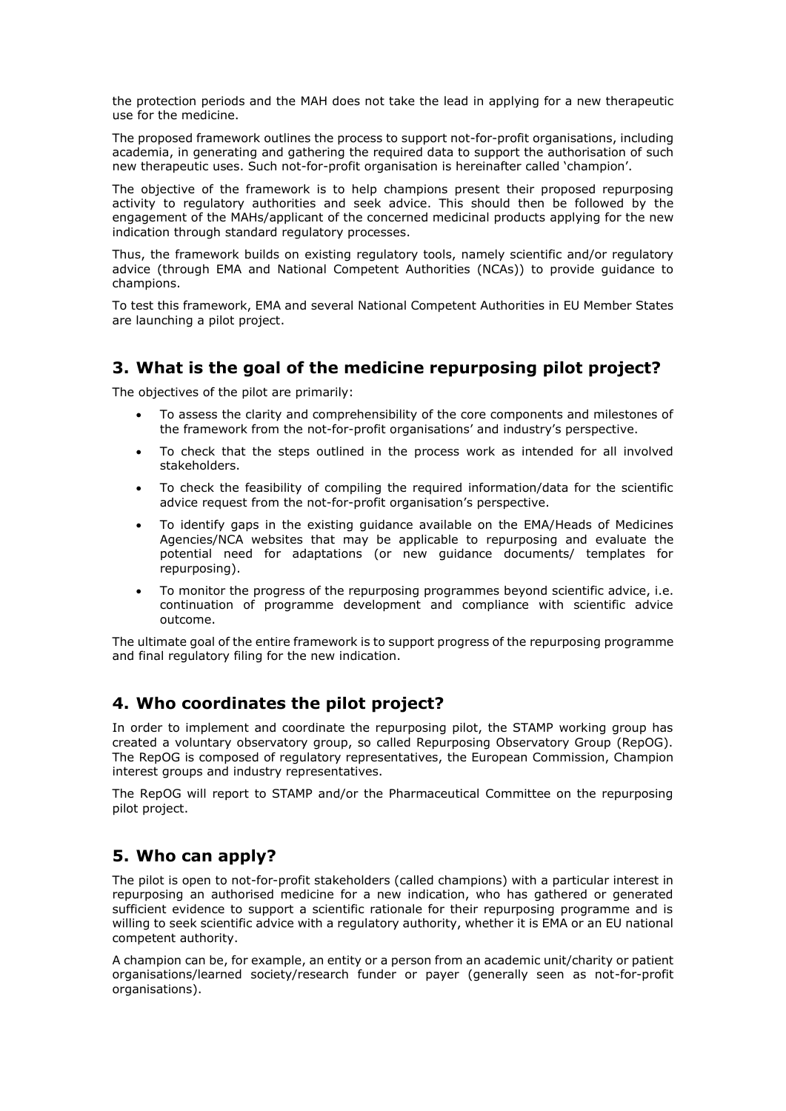the protection periods and the MAH does not take the lead in applying for a new therapeutic use for the medicine.

The proposed framework outlines the process to support not-for-profit organisations, including academia, in generating and gathering the required data to support the authorisation of such new therapeutic uses. Such not-for-profit organisation is hereinafter called 'champion'.

The objective of the framework is to help champions present their proposed repurposing activity to regulatory authorities and seek advice. This should then be followed by the engagement of the MAHs/applicant of the concerned medicinal products applying for the new indication through standard regulatory processes.

Thus, the framework builds on existing regulatory tools, namely scientific and/or regulatory advice (through EMA and National Competent Authorities (NCAs)) to provide guidance to champions.

To test this framework, EMA and several National Competent Authorities in EU Member States are launching a pilot project.

### **3. What is the goal of the medicine repurposing pilot project?**

The objectives of the pilot are primarily:

- To assess the clarity and comprehensibility of the core components and milestones of the framework from the not-for-profit organisations' and industry's perspective.
- To check that the steps outlined in the process work as intended for all involved stakeholders.
- To check the feasibility of compiling the required information/data for the scientific advice request from the not-for-profit organisation's perspective.
- To identify gaps in the existing guidance available on the EMA/Heads of Medicines Agencies/NCA websites that may be applicable to repurposing and evaluate the potential need for adaptations (or new guidance documents/ templates for repurposing).
- To monitor the progress of the repurposing programmes beyond scientific advice, i.e. continuation of programme development and compliance with scientific advice outcome.

The ultimate goal of the entire framework is to support progress of the repurposing programme and final regulatory filing for the new indication.

### **4. Who coordinates the pilot project?**

In order to implement and coordinate the repurposing pilot, the STAMP working group has created a voluntary observatory group, so called Repurposing Observatory Group (RepOG). The RepOG is composed of regulatory representatives, the European Commission, Champion interest groups and industry representatives.

The RepOG will report to STAMP and/or the Pharmaceutical Committee on the repurposing pilot project.

### **5. Who can apply?**

The pilot is open to not-for-profit stakeholders (called champions) with a particular interest in repurposing an authorised medicine for a new indication, who has gathered or generated sufficient evidence to support a scientific rationale for their repurposing programme and is willing to seek scientific advice with a regulatory authority, whether it is EMA or an EU national competent authority.

A champion can be, for example, an entity or a person from an academic unit/charity or patient organisations/learned society/research funder or payer (generally seen as not-for-profit organisations).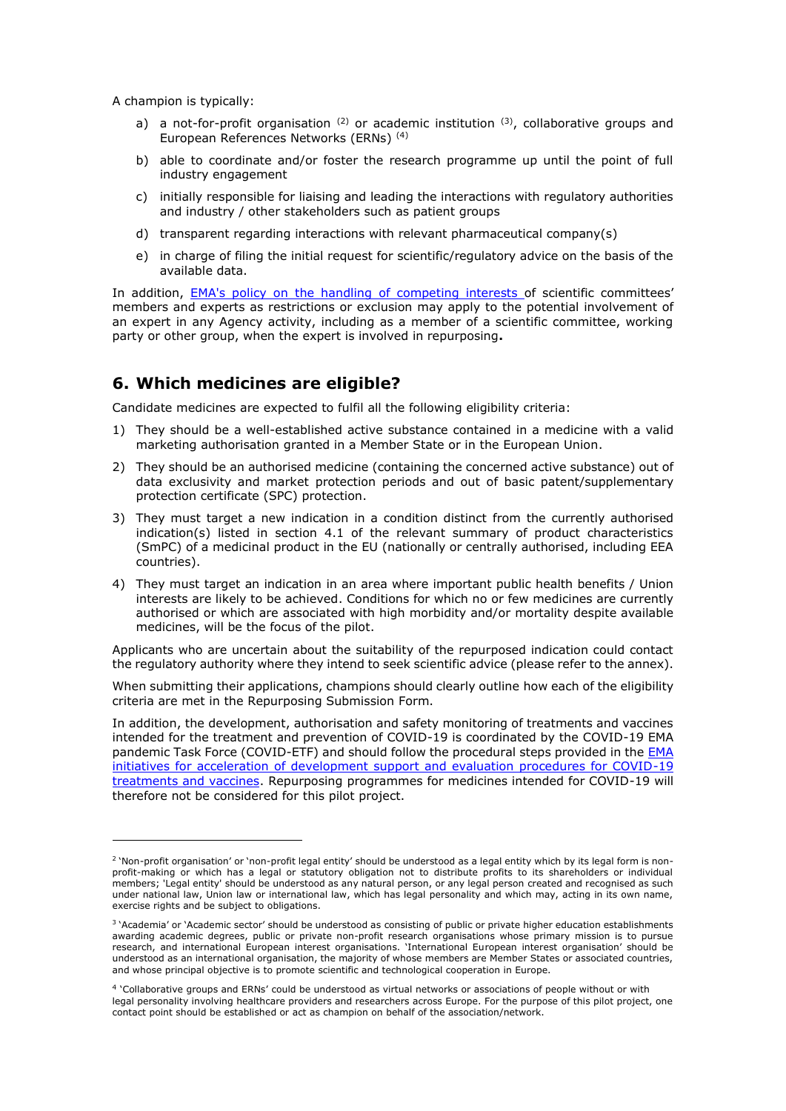A champion is typically:

- a) a not-for-profit organisation  $(2)$  or academic institution  $(3)$ , collaborative groups and European References Networks (ERNs) (4)
- b) able to coordinate and/or foster the research programme up until the point of full industry engagement
- c) initially responsible for liaising and leading the interactions with regulatory authorities and industry / other stakeholders such as patient groups
- d) transparent regarding interactions with relevant pharmaceutical company(s)
- e) in charge of filing the initial request for scientific/regulatory advice on the basis of the available data.

In addition, [EMA's policy on the handling of competing interests](https://www.ema.europa.eu/en/documents/other/policy-44-european-medicines-agency-policy-handling-competing-interests-scientific-committees_en-0.pdf) of scientific committees' members and experts as restrictions or exclusion may apply to the potential involvement of an expert in any Agency activity, including as a member of a scientific committee, working party or other group, when the expert is involved in repurposing**.**

### **6. Which medicines are eligible?**

Candidate medicines are expected to fulfil all the following eligibility criteria:

- 1) They should be a well-established active substance contained in a medicine with a valid marketing authorisation granted in a Member State or in the European Union.
- 2) They should be an authorised medicine (containing the concerned active substance) out of data exclusivity and market protection periods and out of basic patent/supplementary protection certificate (SPC) protection.
- 3) They must target a new indication in a condition distinct from the currently authorised indication(s) listed in section 4.1 of the relevant summary of product characteristics (SmPC) of a medicinal product in the EU (nationally or centrally authorised, including EEA countries).
- 4) They must target an indication in an area where important public health benefits / Union interests are likely to be achieved. Conditions for which no or few medicines are currently authorised or which are associated with high morbidity and/or mortality despite available medicines, will be the focus of the pilot.

Applicants who are uncertain about the suitability of the repurposed indication could contact the regulatory authority where they intend to seek scientific advice (please refer to the annex).

When submitting their applications, champions should clearly outline how each of the eligibility criteria are met in the Repurposing Submission Form.

In addition, the development, authorisation and safety monitoring of treatments and vaccines intended for the treatment and prevention of COVID-19 is coordinated by the COVID-19 EMA pandemic Task Force (COVID-ETF) and should follow the procedural steps provided in the [EMA](https://www.ema.europa.eu/en/documents/other/ema-initiatives-acceleration-development-support-evaluation-procedures-covid-19-treatments-vaccines_en.pdf)  [initiatives for acceleration of development support and evaluation procedures for COVID-19](https://www.ema.europa.eu/en/documents/other/ema-initiatives-acceleration-development-support-evaluation-procedures-covid-19-treatments-vaccines_en.pdf)  [treatments and vaccines.](https://www.ema.europa.eu/en/documents/other/ema-initiatives-acceleration-development-support-evaluation-procedures-covid-19-treatments-vaccines_en.pdf) Repurposing programmes for medicines intended for COVID-19 will therefore not be considered for this pilot project.

<sup>&</sup>lt;sup>2</sup> 'Non-profit organisation' or 'non-profit legal entity' should be understood as a legal entity which by its legal form is nonprofit-making or which has a legal or statutory obligation not to distribute profits to its shareholders or individual members; 'Legal entity' should be understood as any natural person, or any legal person created and recognised as such under national law, Union law or international law, which has legal personality and which may, acting in its own name, exercise rights and be subject to obligations.

<sup>&</sup>lt;sup>3</sup> 'Academia' or 'Academic sector' should be understood as consisting of public or private higher education establishments awarding academic degrees, public or private non-profit research organisations whose primary mission is to pursue research, and international European interest organisations. 'International European interest organisation' should be understood as an international organisation, the majority of whose members are Member States or associated countries, and whose principal objective is to promote scientific and technological cooperation in Europe.

<sup>4</sup> 'Collaborative groups and ERNs' could be understood as virtual networks or associations of people without or with legal personality involving healthcare providers and researchers across Europe. For the purpose of this pilot project, one contact point should be established or act as champion on behalf of the association/network.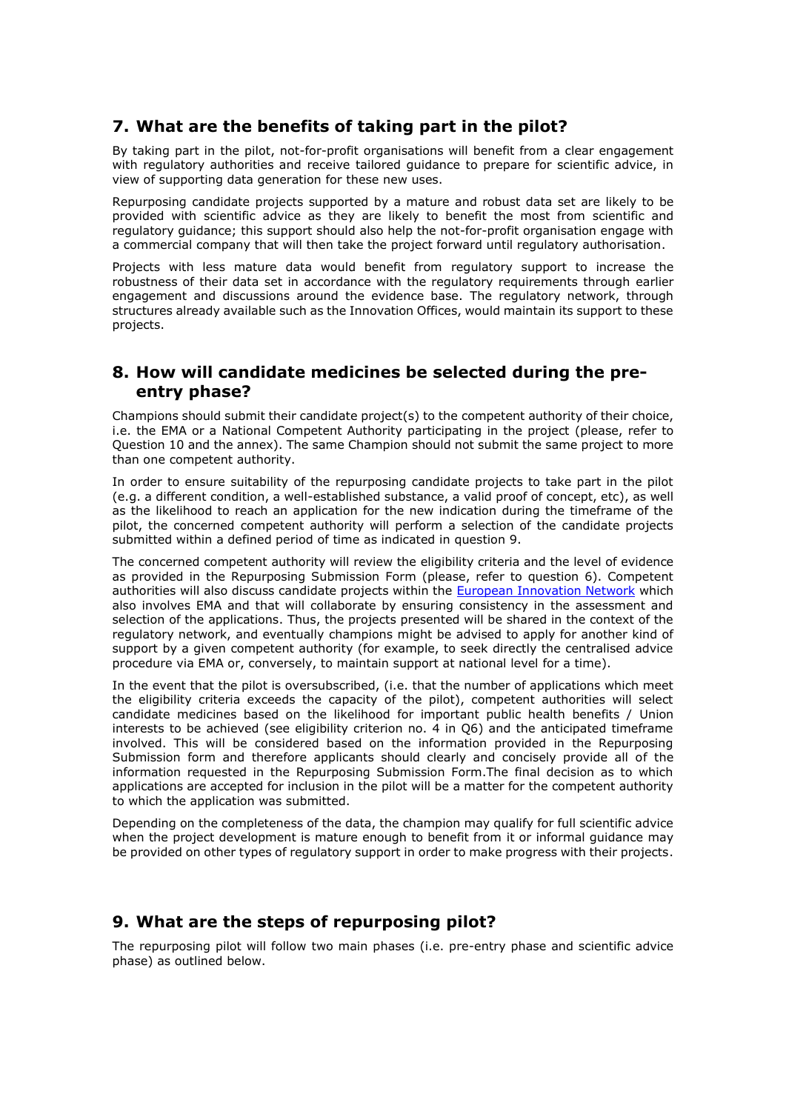### **7. What are the benefits of taking part in the pilot?**

By taking part in the pilot, not-for-profit organisations will benefit from a clear engagement with regulatory authorities and receive tailored guidance to prepare for scientific advice, in view of supporting data generation for these new uses.

Repurposing candidate projects supported by a mature and robust data set are likely to be provided with scientific advice as they are likely to benefit the most from scientific and regulatory guidance; this support should also help the not-for-profit organisation engage with a commercial company that will then take the project forward until regulatory authorisation.

Projects with less mature data would benefit from regulatory support to increase the robustness of their data set in accordance with the regulatory requirements through earlier engagement and discussions around the evidence base. The regulatory network, through structures already available such as the Innovation Offices, would maintain its support to these projects.

### **8. How will candidate medicines be selected during the preentry phase?**

Champions should submit their candidate project(s) to the competent authority of their choice, i.e. the EMA or a National Competent Authority participating in the project (please, refer to Question 10 and the annex). The same Champion should not submit the same project to more than one competent authority.

In order to ensure suitability of the repurposing candidate projects to take part in the pilot (e.g. a different condition, a well-established substance, a valid proof of concept, etc), as well as the likelihood to reach an application for the new indication during the timeframe of the pilot, the concerned competent authority will perform a selection of the candidate projects submitted within a defined period of time as indicated in question 9.

The concerned competent authority will review the eligibility criteria and the level of evidence as provided in the Repurposing Submission Form (please, refer to question 6). Competent authorities will also discuss candidate projects within the [European Innovation Network](https://www.ema.europa.eu/en/human-regulatory/research-development/innovation-medicines#eu-innovation-network-section) which also involves EMA and that will collaborate by ensuring consistency in the assessment and selection of the applications. Thus, the projects presented will be shared in the context of the regulatory network, and eventually champions might be advised to apply for another kind of support by a given competent authority (for example, to seek directly the centralised advice procedure via EMA or, conversely, to maintain support at national level for a time).

In the event that the pilot is oversubscribed, (i.e. that the number of applications which meet the eligibility criteria exceeds the capacity of the pilot), competent authorities will select candidate medicines based on the likelihood for important public health benefits / Union interests to be achieved (see eligibility criterion no. 4 in Q6) and the anticipated timeframe involved. This will be considered based on the information provided in the Repurposing Submission form and therefore applicants should clearly and concisely provide all of the information requested in the Repurposing Submission Form.The final decision as to which applications are accepted for inclusion in the pilot will be a matter for the competent authority to which the application was submitted.

Depending on the completeness of the data, the champion may qualify for full scientific advice when the project development is mature enough to benefit from it or informal guidance may be provided on other types of regulatory support in order to make progress with their projects.

### **9. What are the steps of repurposing pilot?**

The repurposing pilot will follow two main phases (i.e. pre-entry phase and scientific advice phase) as outlined below.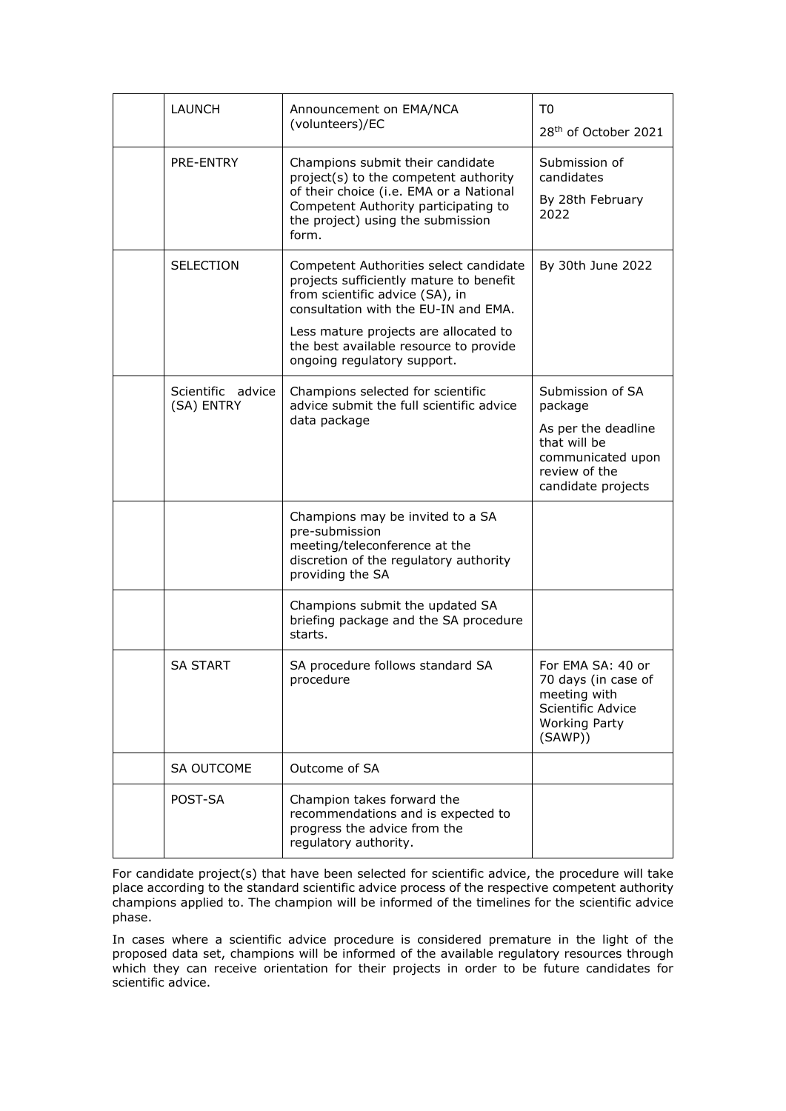| <b>LAUNCH</b>                   | Announcement on EMA/NCA<br>(volunteers)/EC                                                                                                                                                                                                                                     | T <sub>0</sub><br>28 <sup>th</sup> of October 2021                                                                             |  |
|---------------------------------|--------------------------------------------------------------------------------------------------------------------------------------------------------------------------------------------------------------------------------------------------------------------------------|--------------------------------------------------------------------------------------------------------------------------------|--|
| PRE-ENTRY                       | Champions submit their candidate<br>project(s) to the competent authority<br>of their choice (i.e. EMA or a National<br>Competent Authority participating to<br>the project) using the submission<br>form.                                                                     | Submission of<br>candidates<br>By 28th February<br>2022                                                                        |  |
| SELECTION                       | Competent Authorities select candidate<br>projects sufficiently mature to benefit<br>from scientific advice (SA), in<br>consultation with the EU-IN and EMA.<br>Less mature projects are allocated to<br>the best available resource to provide<br>ongoing regulatory support. | By 30th June 2022                                                                                                              |  |
| Scientific advice<br>(SA) ENTRY | Champions selected for scientific<br>advice submit the full scientific advice<br>data package                                                                                                                                                                                  | Submission of SA<br>package<br>As per the deadline<br>that will be<br>communicated upon<br>review of the<br>candidate projects |  |
|                                 | Champions may be invited to a SA<br>pre-submission<br>meeting/teleconference at the<br>discretion of the regulatory authority<br>providing the SA                                                                                                                              |                                                                                                                                |  |
|                                 | Champions submit the updated SA<br>briefing package and the SA procedure<br>starts.                                                                                                                                                                                            |                                                                                                                                |  |
| <b>SA START</b>                 | SA procedure follows standard SA<br>procedure                                                                                                                                                                                                                                  | For EMA SA: 40 or<br>70 days (in case of<br>meeting with<br>Scientific Advice<br><b>Working Party</b><br>(SAWP))               |  |
| <b>SA OUTCOME</b>               | Outcome of SA                                                                                                                                                                                                                                                                  |                                                                                                                                |  |
| POST-SA                         | Champion takes forward the<br>recommendations and is expected to<br>progress the advice from the<br>regulatory authority.                                                                                                                                                      |                                                                                                                                |  |

For candidate project(s) that have been selected for scientific advice, the procedure will take place according to the standard scientific advice process of the respective competent authority champions applied to. The champion will be informed of the timelines for the scientific advice phase.

In cases where a scientific advice procedure is considered premature in the light of the proposed data set, champions will be informed of the available regulatory resources through which they can receive orientation for their projects in order to be future candidates for scientific advice.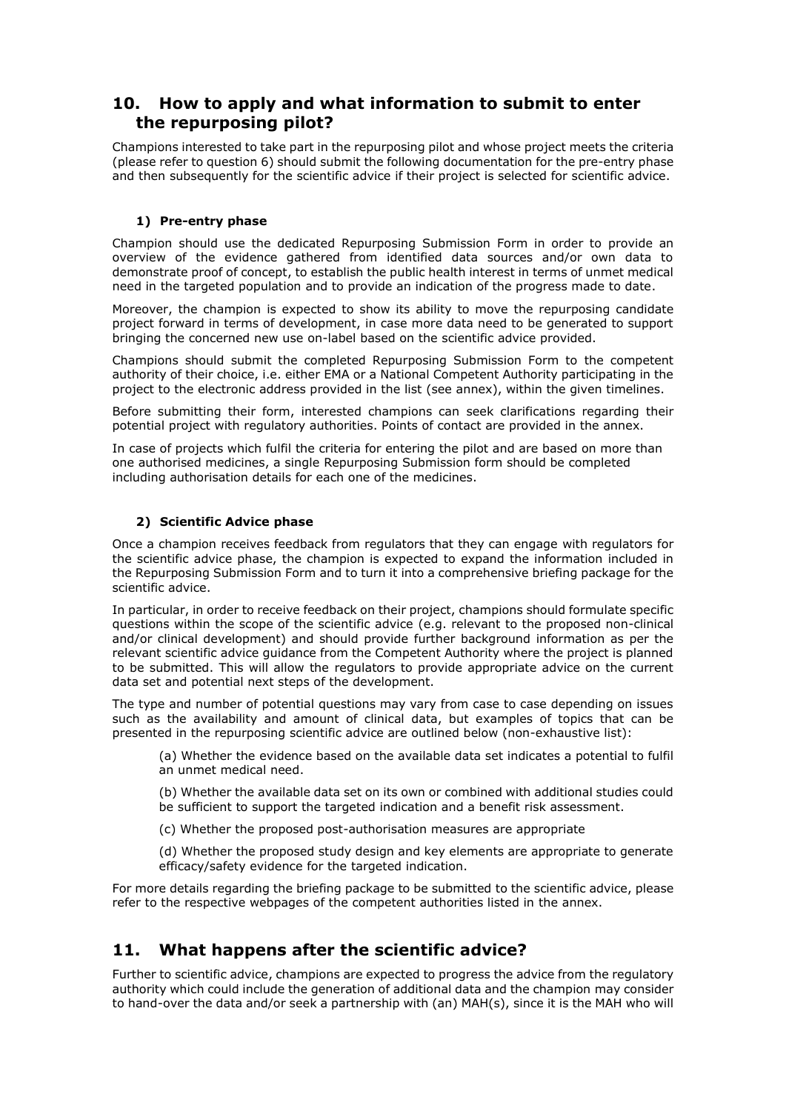### **10. How to apply and what information to submit to enter the repurposing pilot?**

Champions interested to take part in the repurposing pilot and whose project meets the criteria (please refer to question 6) should submit the following documentation for the pre-entry phase and then subsequently for the scientific advice if their project is selected for scientific advice.

### **1) Pre-entry phase**

Champion should use the dedicated Repurposing Submission Form in order to provide an overview of the evidence gathered from identified data sources and/or own data to demonstrate proof of concept, to establish the public health interest in terms of unmet medical need in the targeted population and to provide an indication of the progress made to date.

Moreover, the champion is expected to show its ability to move the repurposing candidate project forward in terms of development, in case more data need to be generated to support bringing the concerned new use on-label based on the scientific advice provided.

Champions should submit the completed Repurposing Submission Form to the competent authority of their choice, i.e. either EMA or a National Competent Authority participating in the project to the electronic address provided in the list (see annex), within the given timelines.

Before submitting their form, interested champions can seek clarifications regarding their potential project with regulatory authorities. Points of contact are provided in the annex.

In case of projects which fulfil the criteria for entering the pilot and are based on more than one authorised medicines, a single Repurposing Submission form should be completed including authorisation details for each one of the medicines.

#### **2) Scientific Advice phase**

Once a champion receives feedback from regulators that they can engage with regulators for the scientific advice phase, the champion is expected to expand the information included in the Repurposing Submission Form and to turn it into a comprehensive briefing package for the scientific advice.

In particular, in order to receive feedback on their project, champions should formulate specific questions within the scope of the scientific advice (e.g. relevant to the proposed non-clinical and/or clinical development) and should provide further background information as per the relevant scientific advice guidance from the Competent Authority where the project is planned to be submitted. This will allow the regulators to provide appropriate advice on the current data set and potential next steps of the development.

The type and number of potential questions may vary from case to case depending on issues such as the availability and amount of clinical data, but examples of topics that can be presented in the repurposing scientific advice are outlined below (non-exhaustive list):

(a) Whether the evidence based on the available data set indicates a potential to fulfil an unmet medical need.

(b) Whether the available data set on its own or combined with additional studies could be sufficient to support the targeted indication and a benefit risk assessment.

(c) Whether the proposed post-authorisation measures are appropriate

(d) Whether the proposed study design and key elements are appropriate to generate efficacy/safety evidence for the targeted indication.

For more details regarding the briefing package to be submitted to the scientific advice, please refer to the respective webpages of the competent authorities listed in the annex.

## **11. What happens after the scientific advice?**

Further to scientific advice, champions are expected to progress the advice from the regulatory authority which could include the generation of additional data and the champion may consider to hand-over the data and/or seek a partnership with (an) MAH(s), since it is the MAH who will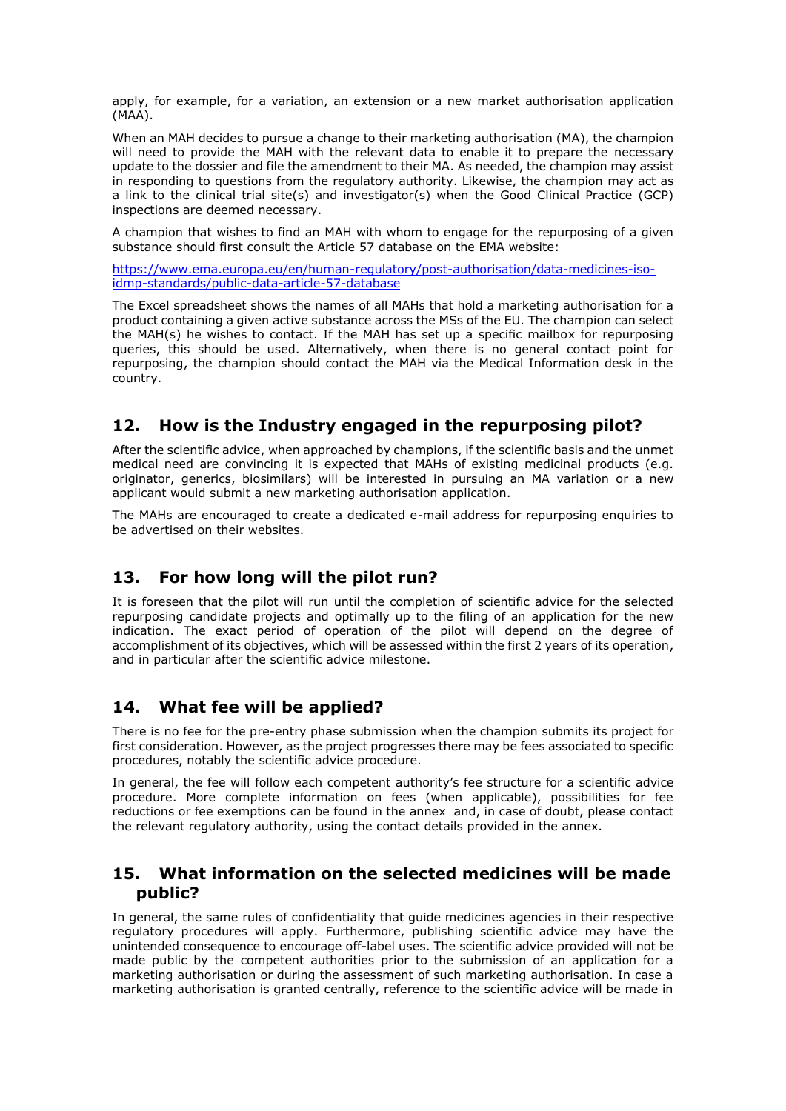apply, for example, for a variation, an extension or a new market authorisation application (MAA).

When an MAH decides to pursue a change to their marketing authorisation (MA), the champion will need to provide the MAH with the relevant data to enable it to prepare the necessary update to the dossier and file the amendment to their MA. As needed, the champion may assist in responding to questions from the regulatory authority. Likewise, the champion may act as a link to the clinical trial site(s) and investigator(s) when the Good Clinical Practice (GCP) inspections are deemed necessary.

A champion that wishes to find an MAH with whom to engage for the repurposing of a given substance should first consult the Article 57 database on the EMA website:

[https://www.ema.europa.eu/en/human-regulatory/post-authorisation/data-medicines-iso](https://www.ema.europa.eu/en/human-regulatory/post-authorisation/data-medicines-iso-idmp-standards/public-data-article-57-database)[idmp-standards/public-data-article-57-database](https://www.ema.europa.eu/en/human-regulatory/post-authorisation/data-medicines-iso-idmp-standards/public-data-article-57-database)

The Excel spreadsheet shows the names of all MAHs that hold a marketing authorisation for a product containing a given active substance across the MSs of the EU. The champion can select the MAH(s) he wishes to contact. If the MAH has set up a specific mailbox for repurposing queries, this should be used. Alternatively, when there is no general contact point for repurposing, the champion should contact the MAH via the Medical Information desk in the country.

### **12. How is the Industry engaged in the repurposing pilot?**

After the scientific advice, when approached by champions, if the scientific basis and the unmet medical need are convincing it is expected that MAHs of existing medicinal products (e.g. originator, generics, biosimilars) will be interested in pursuing an MA variation or a new applicant would submit a new marketing authorisation application.

The MAHs are encouraged to create a dedicated e-mail address for repurposing enquiries to be advertised on their websites.

### **13. For how long will the pilot run?**

It is foreseen that the pilot will run until the completion of scientific advice for the selected repurposing candidate projects and optimally up to the filing of an application for the new indication. The exact period of operation of the pilot will depend on the degree of accomplishment of its objectives, which will be assessed within the first 2 years of its operation, and in particular after the scientific advice milestone.

### **14. What fee will be applied?**

There is no fee for the pre-entry phase submission when the champion submits its project for first consideration. However, as the project progresses there may be fees associated to specific procedures, notably the scientific advice procedure.

In general, the fee will follow each competent authority's fee structure for a scientific advice procedure. More complete information on fees (when applicable), possibilities for fee reductions or fee exemptions can be found in the annex and, in case of doubt, please contact the relevant regulatory authority, using the contact details provided in the annex.

### **15. What information on the selected medicines will be made public?**

In general, the same rules of confidentiality that guide medicines agencies in their respective regulatory procedures will apply. Furthermore, publishing scientific advice may have the unintended consequence to encourage off-label uses. The scientific advice provided will not be made public by the competent authorities prior to the submission of an application for a marketing authorisation or during the assessment of such marketing authorisation. In case a marketing authorisation is granted centrally, reference to the scientific advice will be made in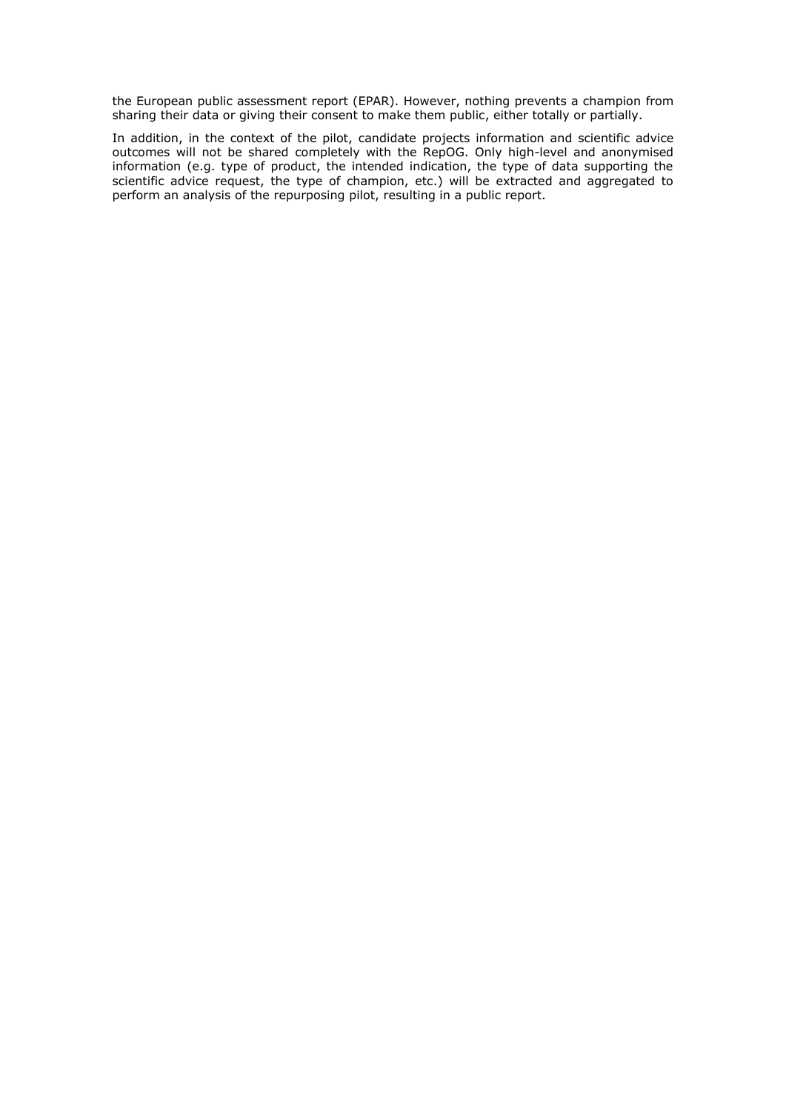the European public assessment report (EPAR). However, nothing prevents a champion from sharing their data or giving their consent to make them public, either totally or partially.

In addition, in the context of the pilot, candidate projects information and scientific advice outcomes will not be shared completely with the RepOG. Only high-level and anonymised information (e.g. type of product, the intended indication, the type of data supporting the scientific advice request, the type of champion, etc.) will be extracted and aggregated to perform an analysis of the repurposing pilot, resulting in a public report.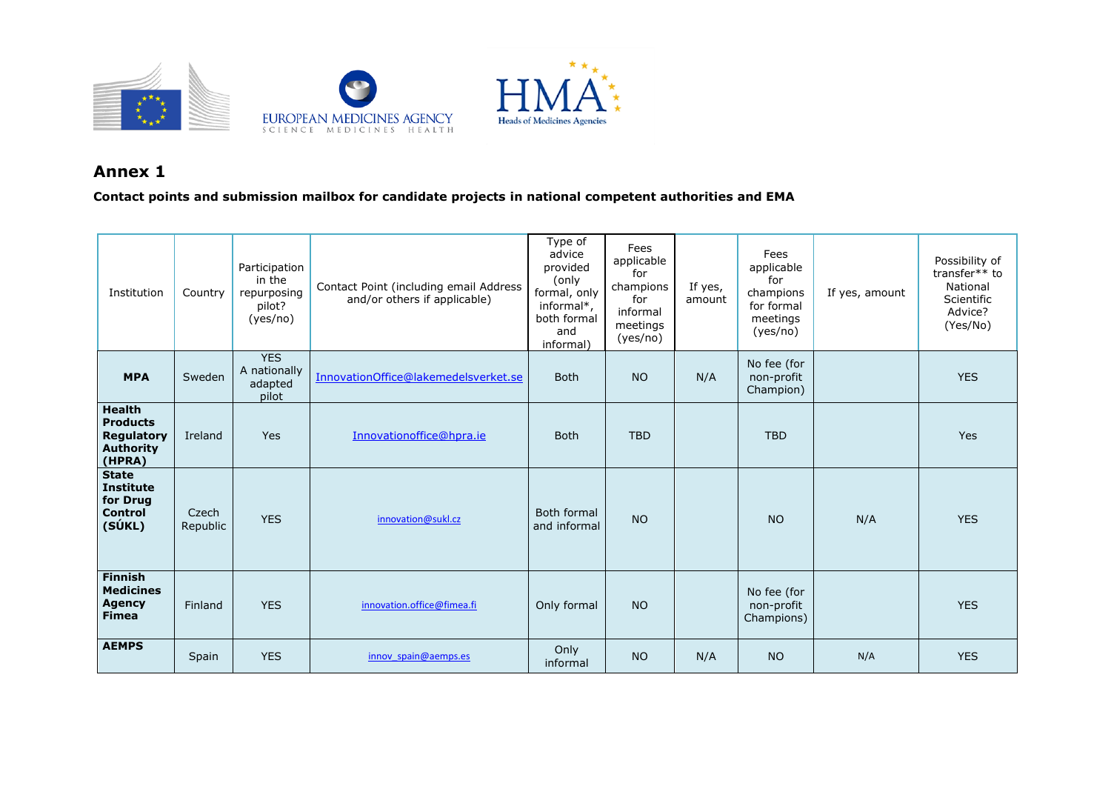

### **Annex 1**

**Contact points and submission mailbox for candidate projects in national competent authorities and EMA**

| Institution                                                                         | Country           | Participation<br>in the<br>repurposing<br>pilot?<br>(yes/no) | Contact Point (including email Address<br>and/or others if applicable) | Type of<br>advice<br>provided<br>(only<br>formal, only<br>informal*,<br>both formal<br>and<br>informal) | Fees<br>applicable<br>for<br>champions<br>for<br>informal<br>meetings<br>(yes/no) | If yes,<br>amount | Fees<br>applicable<br>for<br>champions<br>for formal<br>meetings<br>(yes/no) | If yes, amount | Possibility of<br>transfer** to<br>National<br>Scientific<br>Advice?<br>(Yes/No) |
|-------------------------------------------------------------------------------------|-------------------|--------------------------------------------------------------|------------------------------------------------------------------------|---------------------------------------------------------------------------------------------------------|-----------------------------------------------------------------------------------|-------------------|------------------------------------------------------------------------------|----------------|----------------------------------------------------------------------------------|
| <b>MPA</b>                                                                          | Sweden            | <b>YES</b><br>A nationally<br>adapted<br>pilot               | InnovationOffice@lakemedelsverket.se                                   | <b>Both</b>                                                                                             | <b>NO</b>                                                                         | N/A               | No fee (for<br>non-profit<br>Champion)                                       |                | <b>YES</b>                                                                       |
| <b>Health</b><br><b>Products</b><br><b>Regulatory</b><br><b>Authority</b><br>(HPRA) | Ireland           | Yes                                                          | Innovationoffice@hpra.ie                                               | <b>Both</b>                                                                                             | <b>TBD</b>                                                                        |                   | <b>TBD</b>                                                                   |                | <b>Yes</b>                                                                       |
| <b>State</b><br><b>Institute</b><br>for Drug<br><b>Control</b><br>(SÚKL)            | Czech<br>Republic | <b>YES</b>                                                   | innovation@sukl.cz                                                     | Both formal<br>and informal                                                                             | <b>NO</b>                                                                         |                   | <b>NO</b>                                                                    | N/A            | <b>YES</b>                                                                       |
| <b>Finnish</b><br><b>Medicines</b><br><b>Agency</b><br><b>Fimea</b>                 | Finland           | <b>YES</b>                                                   | innovation.office@fimea.fi                                             | Only formal                                                                                             | <b>NO</b>                                                                         |                   | No fee (for<br>non-profit<br>Champions)                                      |                | <b>YES</b>                                                                       |
| <b>AEMPS</b>                                                                        | Spain             | <b>YES</b>                                                   | innov spain@aemps.es                                                   | Only<br>informal                                                                                        | <b>NO</b>                                                                         | N/A               | <b>NO</b>                                                                    | N/A            | <b>YES</b>                                                                       |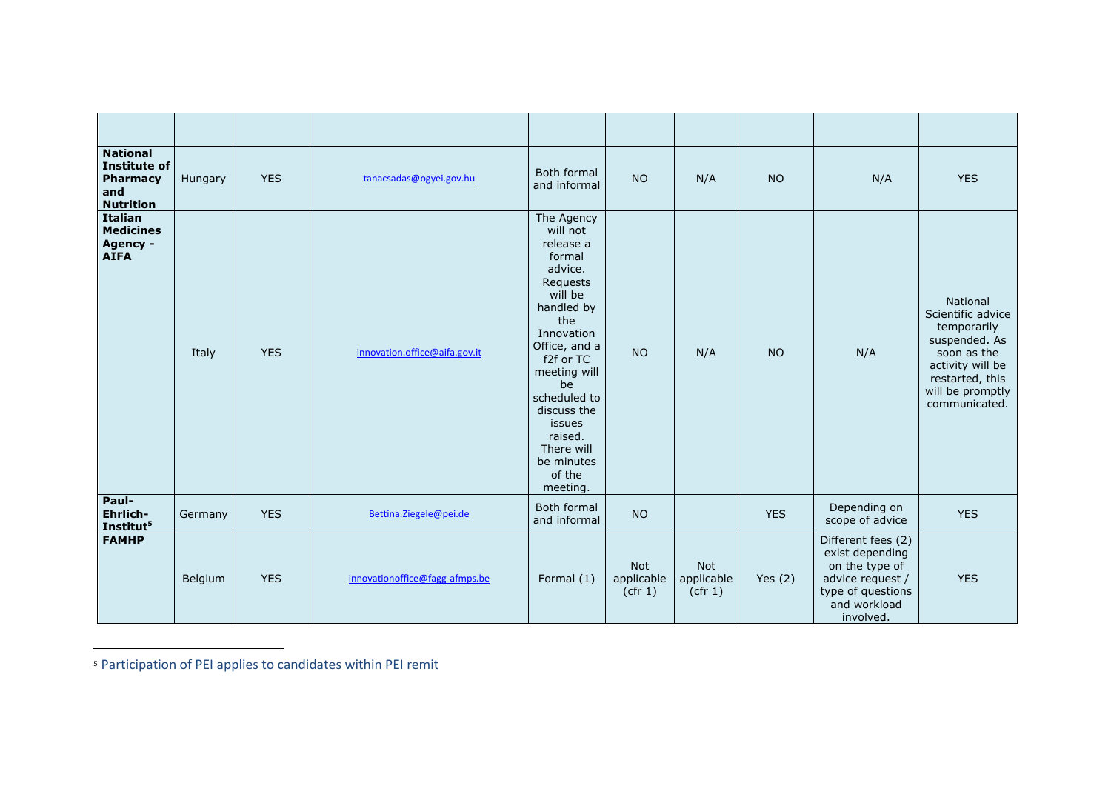| <b>National</b><br>Institute of<br>Pharmacy<br>and<br><b>Nutrition</b> | Hungary | <b>YES</b> | tanacsadas@ogyei.gov.hu        | Both formal<br>and informal                                                                                                                                                                                                                                                  | <b>NO</b>                           | N/A                                 | <b>NO</b>  | N/A                                                                                                                           | <b>YES</b>                                                                                                                                               |
|------------------------------------------------------------------------|---------|------------|--------------------------------|------------------------------------------------------------------------------------------------------------------------------------------------------------------------------------------------------------------------------------------------------------------------------|-------------------------------------|-------------------------------------|------------|-------------------------------------------------------------------------------------------------------------------------------|----------------------------------------------------------------------------------------------------------------------------------------------------------|
| Italian<br><b>Medicines</b><br>Agency -<br><b>AIFA</b>                 | Italy   | <b>YES</b> | innovation.office@aifa.gov.it  | The Agency<br>will not<br>release a<br>formal<br>advice.<br>Requests<br>will be<br>handled by<br>the<br>Innovation<br>Office, and a<br>f2f or TC<br>meeting will<br>be<br>scheduled to<br>discuss the<br>issues<br>raised.<br>There will<br>be minutes<br>of the<br>meeting. | <b>NO</b>                           | N/A                                 | <b>NO</b>  | N/A                                                                                                                           | National<br>Scientific advice<br>temporarily<br>suspended. As<br>soon as the<br>activity will be<br>restarted, this<br>will be promptly<br>communicated. |
| Paul-<br>Ehrlich-<br>Institut <sup>5</sup>                             | Germany | <b>YES</b> | Bettina.Ziegele@pei.de         | Both formal<br>and informal                                                                                                                                                                                                                                                  | <b>NO</b>                           |                                     | <b>YES</b> | Depending on<br>scope of advice                                                                                               | <b>YES</b>                                                                                                                                               |
| <b>FAMHP</b>                                                           | Belgium | <b>YES</b> | innovationoffice@fagg-afmps.be | Formal (1)                                                                                                                                                                                                                                                                   | <b>Not</b><br>applicable<br>(cfr 1) | <b>Not</b><br>applicable<br>(cfr 1) | Yes $(2)$  | Different fees (2)<br>exist depending<br>on the type of<br>advice request /<br>type of questions<br>and workload<br>involved. | <b>YES</b>                                                                                                                                               |

<sup>5</sup> Participation of PEI applies to candidates within PEI remit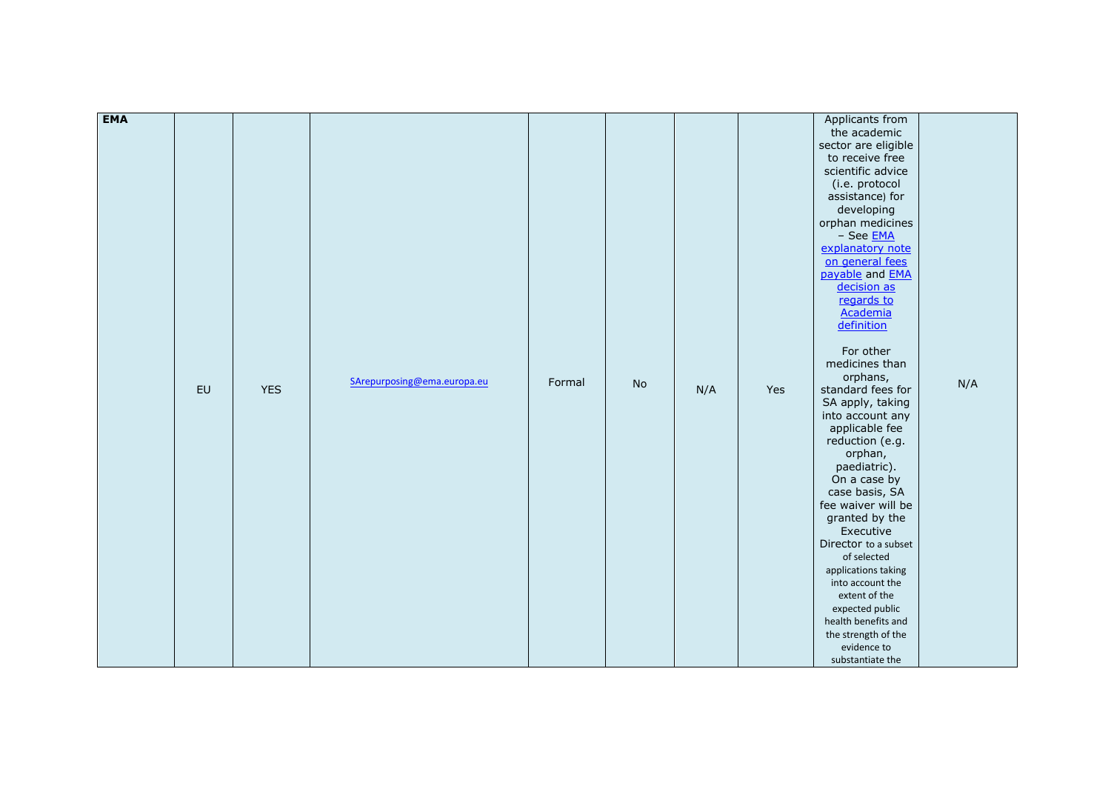| <b>EMA</b> |    |            |                             |        |    |     |     |                                      |     |
|------------|----|------------|-----------------------------|--------|----|-----|-----|--------------------------------------|-----|
|            |    |            |                             |        |    |     |     | Applicants from<br>the academic      |     |
|            |    |            |                             |        |    |     |     | sector are eligible                  |     |
|            |    |            |                             |        |    |     |     | to receive free                      |     |
|            |    |            |                             |        |    |     |     | scientific advice                    |     |
|            |    |            |                             |        |    |     |     | (i.e. protocol                       |     |
|            |    |            |                             |        |    |     |     | assistance) for                      |     |
|            |    |            |                             |        |    |     |     |                                      |     |
|            |    |            |                             |        |    |     |     | developing<br>orphan medicines       |     |
|            |    |            |                             |        |    |     |     |                                      |     |
|            |    |            |                             |        |    |     |     | - See <b>EMA</b><br>explanatory note |     |
|            |    |            |                             |        |    |     |     | on general fees                      |     |
|            |    |            |                             |        |    |     |     | payable and <b>EMA</b>               |     |
|            |    |            |                             |        |    |     |     | decision as                          |     |
|            |    |            |                             |        |    |     |     | regards to                           |     |
|            |    |            |                             |        |    |     |     | Academia                             |     |
|            |    |            |                             |        |    |     |     | definition                           |     |
|            |    |            |                             |        |    |     |     |                                      |     |
|            |    |            |                             |        |    |     |     | For other                            |     |
|            |    |            |                             |        |    |     |     | medicines than                       |     |
|            |    |            |                             |        |    |     |     | orphans,                             |     |
|            | EU | <b>YES</b> | SArepurposing@ema.europa.eu | Formal | No | N/A | Yes | standard fees for                    | N/A |
|            |    |            |                             |        |    |     |     | SA apply, taking                     |     |
|            |    |            |                             |        |    |     |     | into account any                     |     |
|            |    |            |                             |        |    |     |     | applicable fee                       |     |
|            |    |            |                             |        |    |     |     | reduction (e.g.                      |     |
|            |    |            |                             |        |    |     |     | orphan,                              |     |
|            |    |            |                             |        |    |     |     | paediatric).                         |     |
|            |    |            |                             |        |    |     |     | On a case by                         |     |
|            |    |            |                             |        |    |     |     | case basis, SA                       |     |
|            |    |            |                             |        |    |     |     | fee waiver will be                   |     |
|            |    |            |                             |        |    |     |     | granted by the                       |     |
|            |    |            |                             |        |    |     |     | Executive                            |     |
|            |    |            |                             |        |    |     |     | Director to a subset                 |     |
|            |    |            |                             |        |    |     |     | of selected                          |     |
|            |    |            |                             |        |    |     |     | applications taking                  |     |
|            |    |            |                             |        |    |     |     | into account the                     |     |
|            |    |            |                             |        |    |     |     | extent of the                        |     |
|            |    |            |                             |        |    |     |     | expected public                      |     |
|            |    |            |                             |        |    |     |     | health benefits and                  |     |
|            |    |            |                             |        |    |     |     | the strength of the                  |     |
|            |    |            |                             |        |    |     |     | evidence to                          |     |
|            |    |            |                             |        |    |     |     | substantiate the                     |     |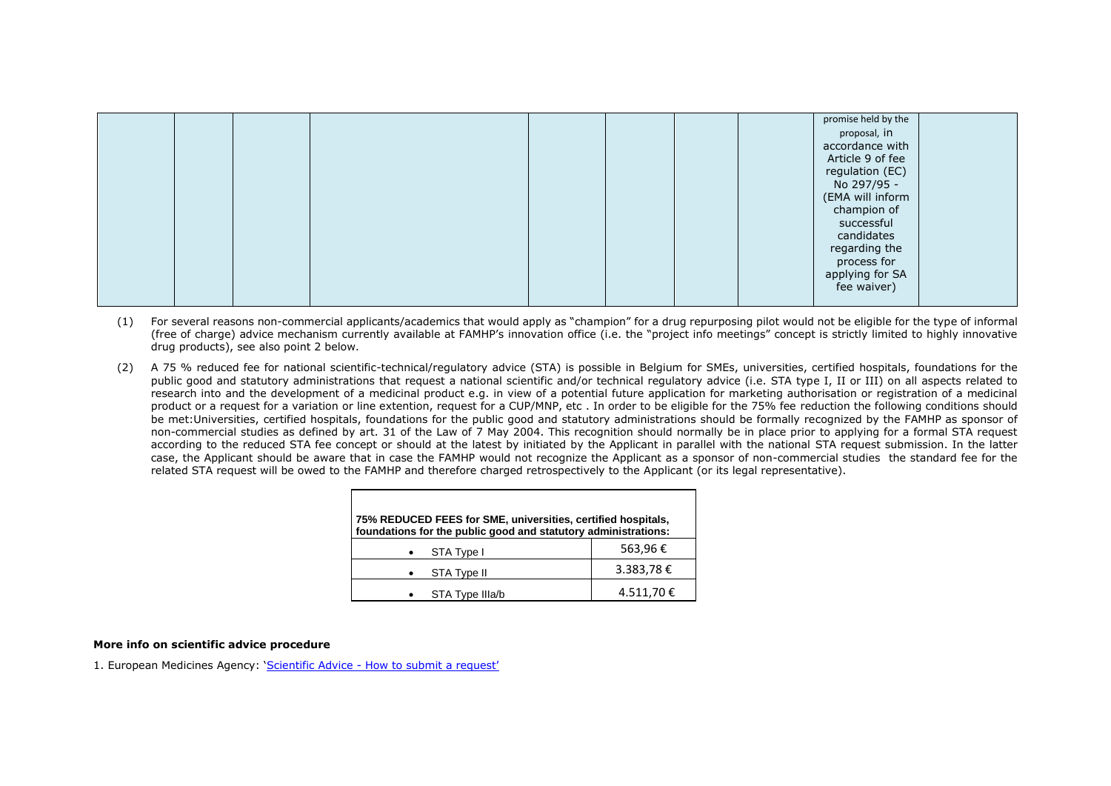|  |  |  |  | promise held by the |  |
|--|--|--|--|---------------------|--|
|  |  |  |  | proposal, in        |  |
|  |  |  |  | accordance with     |  |
|  |  |  |  | Article 9 of fee    |  |
|  |  |  |  | regulation (EC)     |  |
|  |  |  |  | No 297/95 -         |  |
|  |  |  |  | (EMA will inform    |  |
|  |  |  |  | champion of         |  |
|  |  |  |  | successful          |  |
|  |  |  |  | candidates          |  |
|  |  |  |  |                     |  |
|  |  |  |  | regarding the       |  |
|  |  |  |  | process for         |  |
|  |  |  |  | applying for SA     |  |
|  |  |  |  | fee waiver)         |  |
|  |  |  |  |                     |  |

- (1) For several reasons non-commercial applicants/academics that would apply as "champion" for a drug repurposing pilot would not be eligible for the type of informal (free of charge) advice mechanism currently available at FAMHP's innovation office (i.e. the "project info meetings" concept is strictly limited to highly innovative drug products), see also point 2 below.
- (2) A 75 % reduced fee for national scientific-technical/regulatory advice (STA) is possible in Belgium for SMEs, universities, certified hospitals, foundations for the public good and statutory administrations that request a national scientific and/or technical regulatory advice (i.e. STA type I, II or III) on all aspects related to research into and the development of a medicinal product e.g. in view of a potential future application for marketing authorisation or registration of a medicinal product or a request for a variation or line extention, request for a CUP/MNP, etc . In order to be eligible for the 75% fee reduction the following conditions should be met:Universities, certified hospitals, foundations for the public good and statutory administrations should be formally recognized by the FAMHP as sponsor of non-commercial studies as defined by art. 31 of the Law of 7 May 2004. This recognition should normally be in place prior to applying for a formal STA request according to the reduced STA fee concept or should at the latest by initiated by the Applicant in parallel with the national STA request submission. In the latter case, the Applicant should be aware that in case the FAMHP would not recognize the Applicant as a sponsor of non-commercial studies the standard fee for the related STA request will be owed to the FAMHP and therefore charged retrospectively to the Applicant (or its legal representative).

| 75% REDUCED FEES for SME, universities, certified hospitals,<br>foundations for the public good and statutory administrations: |            |
|--------------------------------------------------------------------------------------------------------------------------------|------------|
| STA Type I                                                                                                                     | 563,96€    |
| <b>STA Type II</b>                                                                                                             | 3.383,78 € |
| STA Type IIIa/b                                                                                                                | 4.511,70€  |

#### **More info on scientific advice procedure**

1. European Medicines Agency: 'Scientific Advice - [How to submit a request](https://www.ema.europa.eu/en/human-regulatory/research-development/scientific-advice-protocol-assistance/requesting-scientific-advice-protocol-assistance-ema)'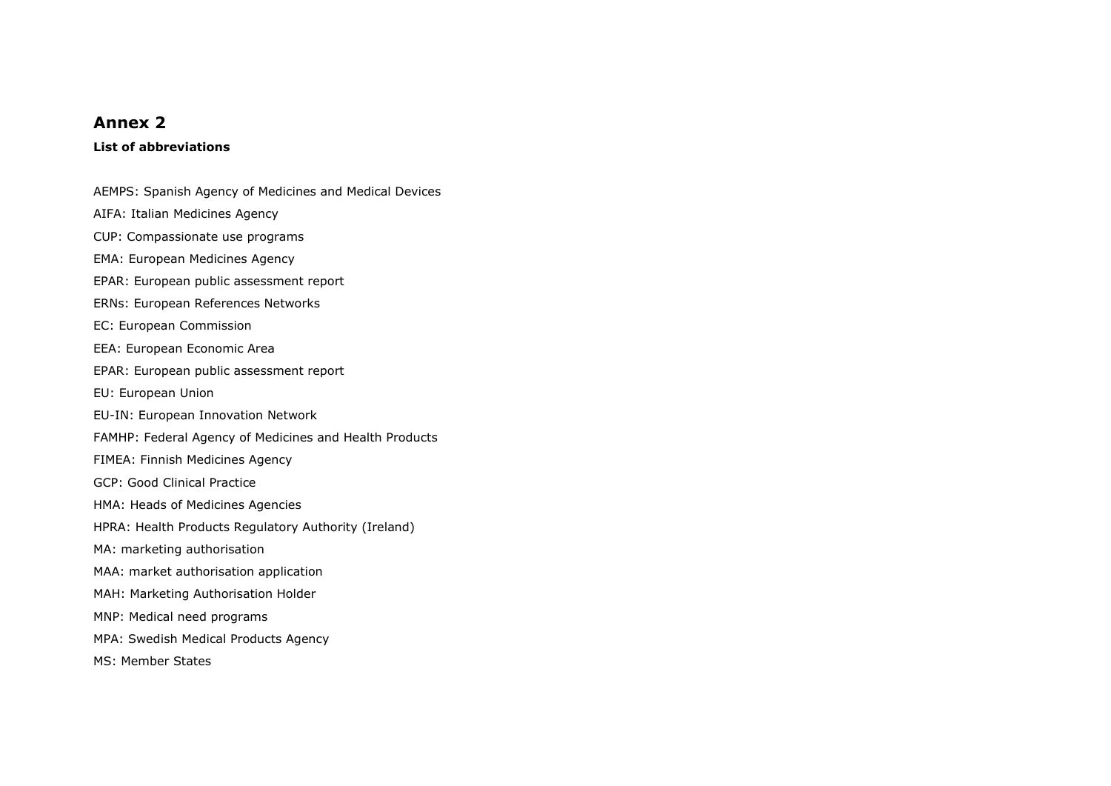### **Annex 2**

#### **List of abbreviations**

AEMPS: Spanish Agency of Medicines and Medical Devices AIFA: Italian Medicines Agency CUP: Compassionate use programs EMA: European Medicines Agency EPAR: European public assessment report ERNs: European References Networks EC: European Commission EEA: European Economic Area EPAR: European public assessment report EU: European Union EU-IN: [European Innovation Network](https://www.ema.europa.eu/en/human-regulatory/research-development/innovation-medicines#eu-innovation-network-section) FAMHP: Federal Agency of Medicines and Health Products FIMEA: Finnish Medicines Agency GCP: Good Clinical Practice HMA: Heads of Medicines Agencies HPRA: Health Products Regulatory Authority (Ireland) MA: marketing authorisation MAA: market authorisation application MAH: Marketing Authorisation Holder MNP: Medical need programs MPA: Swedish Medical Products Agency MS: Member States